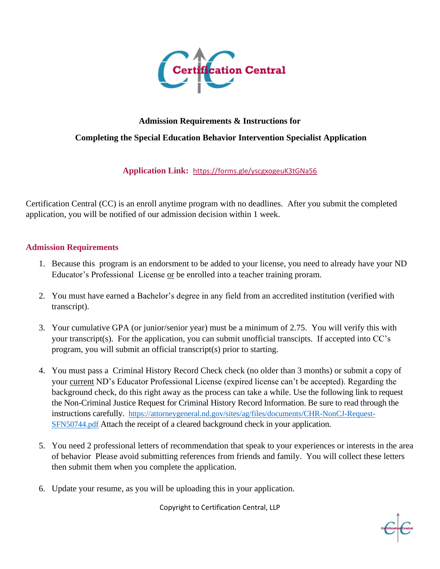

## **Admission Requirements & Instructions for Completing the Special Education Behavior Intervention Specialist Application**

## **Application Link:** <https://forms.gle/yscgxogeuK3tGNa56>

Certification Central (CC) is an enroll anytime program with no deadlines. After you submit the completed application, you will be notified of our admission decision within 1 week.

## **Admission Requirements**

- 1. Because this program is an endorsment to be added to your license, you need to already have your ND Educator's Professional License or be enrolled into a teacher training proram.
- 2. You must have earned a Bachelor's degree in any field from an accredited institution (verified with transcript).
- 3. Your cumulative GPA (or junior/senior year) must be a minimum of 2.75. You will verify this with your transcript(s). For the application, you can submit unofficial transcipts. If accepted into CC's program, you will submit an official transcript(s) prior to starting.
- 4. You must pass a Criminal History Record Check check (no older than 3 months) or submit a copy of your current ND's Educator Professional License (expired license can't be accepted). Regarding the background check, do this right away as the process can take a while. Use the following link to request the Non-Criminal Justice Request for Criminal History Record Information. Be sure to read through the instructions carefully. [https://attorneygeneral.nd.gov/sites/ag/files/documents/CHR-NonCJ-Request-](https://attorneygeneral.nd.gov/sites/ag/files/documents/CHR-NonCJ-Request-SFN50744.pdf)[SFN50744.pdf](https://attorneygeneral.nd.gov/sites/ag/files/documents/CHR-NonCJ-Request-SFN50744.pdf) Attach the receipt of a cleared background check in your application.
- 5. You need 2 professional letters of recommendation that speak to your experiences or interests in the area of behavior Please avoid submitting references from friends and family. You will collect these letters then submit them when you complete the application.
- 6. Update your resume, as you will be uploading this in your application.

Copyright to Certification Central, LLP